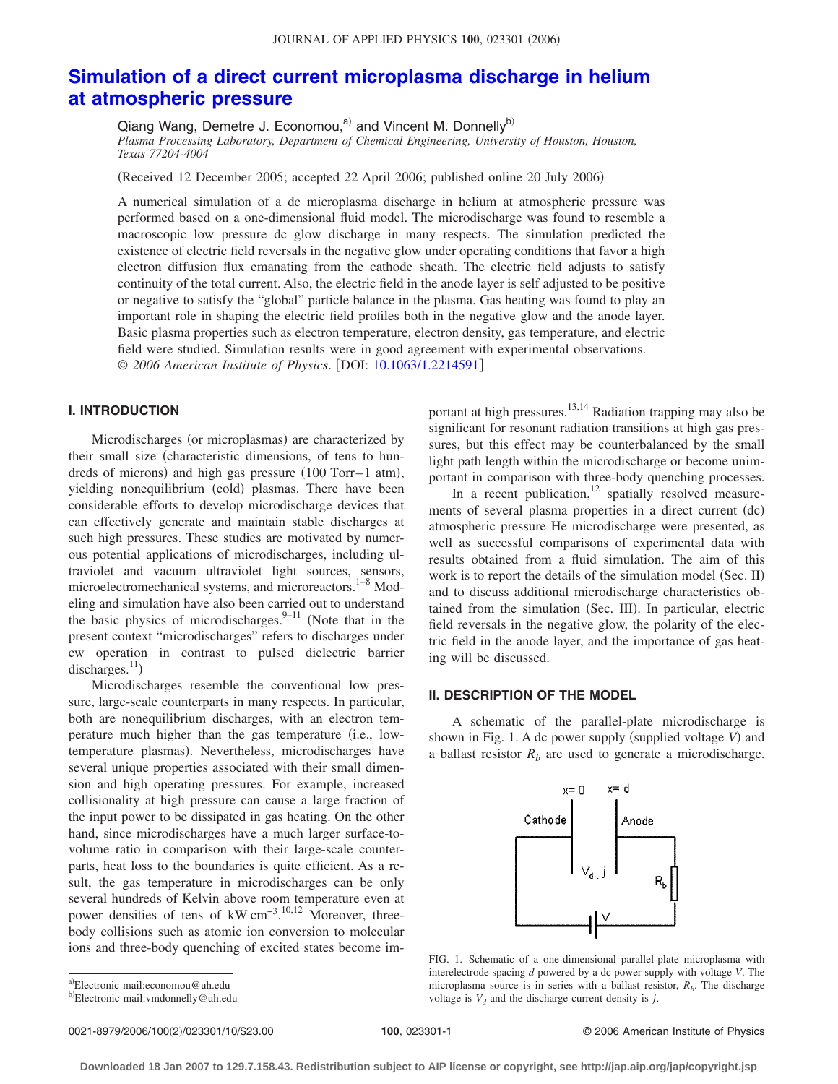# **[Simulation of a direct current microplasma discharge in helium](http://dx.doi.org/10.1063/1.2214591) [at atmospheric pressure](http://dx.doi.org/10.1063/1.2214591)**

Qiang Wang, Demetre J. Economou,<sup>a)</sup> and Vincent M. Donnelly<sup>b)</sup> *Plasma Processing Laboratory, Department of Chemical Engineering, University of Houston, Houston, Texas 77204-4004*

Received 12 December 2005; accepted 22 April 2006; published online 20 July 2006-

A numerical simulation of a dc microplasma discharge in helium at atmospheric pressure was performed based on a one-dimensional fluid model. The microdischarge was found to resemble a macroscopic low pressure dc glow discharge in many respects. The simulation predicted the existence of electric field reversals in the negative glow under operating conditions that favor a high electron diffusion flux emanating from the cathode sheath. The electric field adjusts to satisfy continuity of the total current. Also, the electric field in the anode layer is self adjusted to be positive or negative to satisfy the "global" particle balance in the plasma. Gas heating was found to play an important role in shaping the electric field profiles both in the negative glow and the anode layer. Basic plasma properties such as electron temperature, electron density, gas temperature, and electric field were studied. Simulation results were in good agreement with experimental observations. © 2006 American Institute of Physics. [DOI: [10.1063/1.2214591](http://dx.doi.org/10.1063/1.2214591)]

## **I. INTRODUCTION**

Microdischarges (or microplasmas) are characterized by their small size characteristic dimensions, of tens to hundreds of microns) and high gas pressure (100 Torr-1 atm), yielding nonequilibrium (cold) plasmas. There have been considerable efforts to develop microdischarge devices that can effectively generate and maintain stable discharges at such high pressures. These studies are motivated by numerous potential applications of microdischarges, including ultraviolet and vacuum ultraviolet light sources, sensors, microelectromechanical systems, and microreactors.<sup>1–8</sup> Modeling and simulation have also been carried out to understand the basic physics of microdischarges. $9-11$  (Note that in the present context "microdischarges" refers to discharges under cw operation in contrast to pulsed dielectric barrier discharges. $^{11}$ )

Microdischarges resemble the conventional low pressure, large-scale counterparts in many respects. In particular, both are nonequilibrium discharges, with an electron temperature much higher than the gas temperature (i.e., lowtemperature plasmas). Nevertheless, microdischarges have several unique properties associated with their small dimension and high operating pressures. For example, increased collisionality at high pressure can cause a large fraction of the input power to be dissipated in gas heating. On the other hand, since microdischarges have a much larger surface-tovolume ratio in comparison with their large-scale counterparts, heat loss to the boundaries is quite efficient. As a result, the gas temperature in microdischarges can be only several hundreds of Kelvin above room temperature even at power densities of tens of kW cm<sup>-3</sup>.<sup>10,12</sup> Moreover, threebody collisions such as atomic ion conversion to molecular ions and three-body quenching of excited states become important at high pressures.<sup>13,14</sup> Radiation trapping may also be significant for resonant radiation transitions at high gas pressures, but this effect may be counterbalanced by the small light path length within the microdischarge or become unimportant in comparison with three-body quenching processes.

In a recent publication, $12$  spatially resolved measurements of several plasma properties in a direct current (dc) atmospheric pressure He microdischarge were presented, as well as successful comparisons of experimental data with results obtained from a fluid simulation. The aim of this work is to report the details of the simulation model (Sec. II) and to discuss additional microdischarge characteristics obtained from the simulation (Sec. III). In particular, electric field reversals in the negative glow, the polarity of the electric field in the anode layer, and the importance of gas heating will be discussed.

# **II. DESCRIPTION OF THE MODEL**

A schematic of the parallel-plate microdischarge is shown in Fig. 1. A dc power supply (supplied voltage *V*) and a ballast resistor  $R<sub>b</sub>$  are used to generate a microdischarge.



FIG. 1. Schematic of a one-dimensional parallel-plate microplasma with interelectrode spacing *d* powered by a dc power supply with voltage *V*. The microplasma source is in series with a ballast resistor,  $R_b$ . The discharge voltage is  $V_d$  and the discharge current density is *j*.

0021-8979/2006/100(2)/023301/10/\$23.00

2/023301/10/\$23.00 © 2006 American Institute of Physics **100**, 023301-1

<sup>&</sup>lt;sup>b)</sup>Electronic mail: vmdonnelly@uh.edu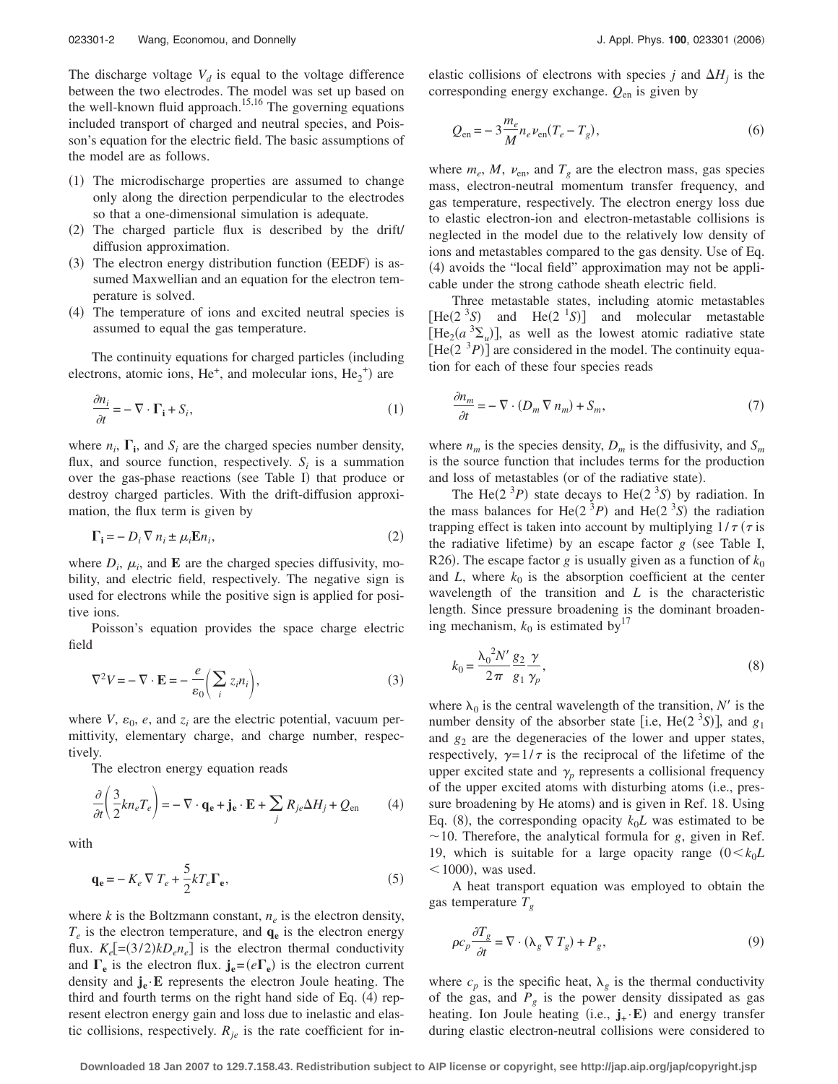The discharge voltage  $V_d$  is equal to the voltage difference between the two electrodes. The model was set up based on the well-known fluid approach.<sup>15,16</sup> The governing equations included transport of charged and neutral species, and Poisson's equation for the electric field. The basic assumptions of the model are as follows.

- (1) The microdischarge properties are assumed to change only along the direction perpendicular to the electrodes so that a one-dimensional simulation is adequate.
- (2) The charged particle flux is described by the drift/ diffusion approximation.
- (3) The electron energy distribution function (EEDF) is assumed Maxwellian and an equation for the electron temperature is solved.
- (4) The temperature of ions and excited neutral species is assumed to equal the gas temperature.

The continuity equations for charged particles (including electrons, atomic ions,  $He^+$ , and molecular ions,  $He_2^+$ ) are

$$
\frac{\partial n_i}{\partial t} = -\nabla \cdot \Gamma_i + S_i,\tag{1}
$$

where  $n_i$ ,  $\Gamma_i$ , and  $S_i$  are the charged species number density, flux, and source function, respectively.  $S_i$  is a summation over the gas-phase reactions (see Table I) that produce or destroy charged particles. With the drift-diffusion approximation, the flux term is given by

$$
\Gamma_{\mathbf{i}} = -D_i \nabla n_i \pm \mu_i \mathbf{E} n_i,\tag{2}
$$

where  $D_i$ ,  $\mu_i$ , and **E** are the charged species diffusivity, mobility, and electric field, respectively. The negative sign is used for electrons while the positive sign is applied for positive ions.

Poisson's equation provides the space charge electric field

$$
\nabla^2 V = -\nabla \cdot \mathbf{E} = -\frac{e}{\varepsilon_0} \left( \sum_i z_i n_i \right),\tag{3}
$$

where  $V$ ,  $\varepsilon_0$ ,  $e$ , and  $z_i$  are the electric potential, vacuum permittivity, elementary charge, and charge number, respectively.

The electron energy equation reads

$$
\frac{\partial}{\partial t} \left( \frac{3}{2} k n_e T_e \right) = - \nabla \cdot \mathbf{q_e} + \mathbf{j_e} \cdot \mathbf{E} + \sum_j R_{je} \Delta H_j + Q_{en} \tag{4}
$$

with

$$
\mathbf{q}_{\mathbf{e}} = -K_e \nabla T_e + \frac{5}{2} k T_e \Gamma_{\mathbf{e}},\tag{5}
$$

where  $k$  is the Boltzmann constant,  $n_e$  is the electron density,  $T_e$  is the electron temperature, and  $q_e$  is the electron energy flux.  $K_e$ [=(3/2) $kD_e n_e$ ] is the electron thermal conductivity and  $\Gamma_e$  is the electron flux.  $\mathbf{j}_e = (e \Gamma_e)$  is the electron current density and  $\mathbf{j}_e \cdot \mathbf{E}$  represents the electron Joule heating. The third and fourth terms on the right hand side of Eq. (4) represent electron energy gain and loss due to inelastic and elastic collisions, respectively.  $R_{je}$  is the rate coefficient for inelastic collisions of electrons with species *j* and  $\Delta H_i$  is the corresponding energy exchange. *Q*en is given by

$$
Q_{\rm en} = -3\frac{m_e}{M} n_e \nu_{\rm en} (T_e - T_g),\tag{6}
$$

where  $m_e$ ,  $M$ ,  $v_{\text{en}}$ , and  $T_g$  are the electron mass, gas species mass, electron-neutral momentum transfer frequency, and gas temperature, respectively. The electron energy loss due to elastic electron-ion and electron-metastable collisions is neglected in the model due to the relatively low density of ions and metastables compared to the gas density. Use of Eq. (4) avoids the "local field" approximation may not be applicable under the strong cathode sheath electric field.

Three metastable states, including atomic metastables  $[He(2<sup>3</sup>S)$  and  $He(2<sup>1</sup>S)]$  and molecular metastable  $[He_2(a_2^3\Sigma_u)]$ , as well as the lowest atomic radiative state  $[He(2<sup>3</sup>P)]$  are considered in the model. The continuity equation for each of these four species reads

$$
\frac{\partial n_m}{\partial t} = -\nabla \cdot (D_m \nabla n_m) + S_m,\tag{7}
$$

where  $n_m$  is the species density,  $D_m$  is the diffusivity, and  $S_m$ is the source function that includes terms for the production and loss of metastables (or of the radiative state).

The He(2<sup>3</sup>P) state decays to He(2<sup>3</sup>S) by radiation. In the mass balances for He(2<sup>3</sup>P) and He(2<sup>3</sup>S) the radiation trapping effect is taken into account by multiplying  $1/\tau$  ( $\tau$  is the radiative lifetime) by an escape factor  $g$  (see Table I, R26). The escape factor *g* is usually given as a function of  $k_0$ and  $L$ , where  $k_0$  is the absorption coefficient at the center wavelength of the transition and *L* is the characteristic length. Since pressure broadening is the dominant broadening mechanism,  $k_0$  is estimated by<sup>17</sup>

$$
k_0 = \frac{\lambda_0^2 N'}{2\pi} \frac{g_2}{g_1} \frac{\gamma}{\gamma_p},\tag{8}
$$

where  $\lambda_0$  is the central wavelength of the transition, *N'* is the number density of the absorber state [i.e, He(2<sup>3</sup>S)], and  $g_1$ and  $g_2$  are the degeneracies of the lower and upper states, respectively,  $\gamma = 1/\tau$  is the reciprocal of the lifetime of the upper excited state and  $\gamma$  represents a collisional frequency of the upper excited atoms with disturbing atoms (i.e., pressure broadening by He atoms) and is given in Ref. 18. Using Eq. (8), the corresponding opacity  $k_0L$  was estimated to be  $\sim$ 10. Therefore, the analytical formula for *g*, given in Ref. 19, which is suitable for a large opacity range  $(0 \lt k_0 L)$  $<$  1000), was used.

A heat transport equation was employed to obtain the gas temperature  $T_g$ 

$$
\rho c_p \frac{\partial T_g}{\partial t} = \nabla \cdot (\lambda_g \nabla T_g) + P_g,\tag{9}
$$

where  $c_p$  is the specific heat,  $\lambda_g$  is the thermal conductivity of the gas, and  $P_g$  is the power density dissipated as gas heating. Ion Joule heating (i.e.,  $\mathbf{j}_{+} \cdot \mathbf{E}$ ) and energy transfer during elastic electron-neutral collisions were considered to

**Downloaded 18 Jan 2007 to 129.7.158.43. Redistribution subject to AIP license or copyright, see http://jap.aip.org/jap/copyright.jsp**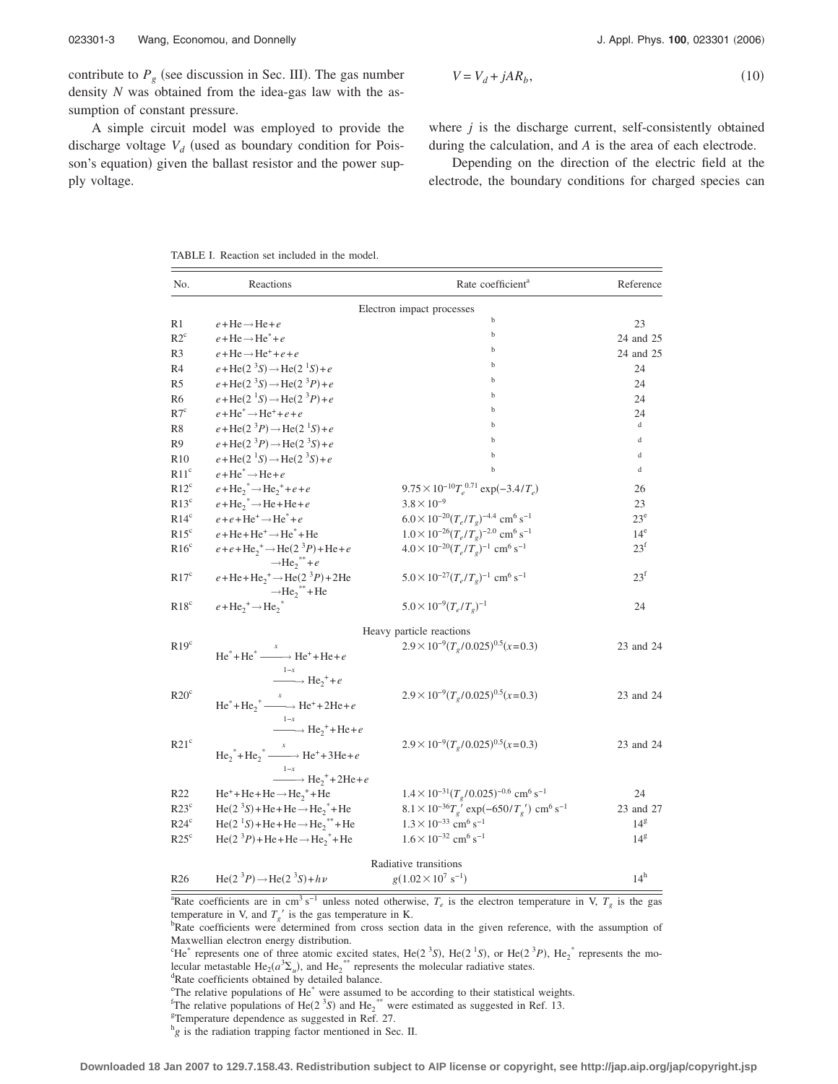contribute to  $P_g$  (see discussion in Sec. III). The gas number density *N* was obtained from the idea-gas law with the assumption of constant pressure.

A simple circuit model was employed to provide the discharge voltage  $V_d$  (used as boundary condition for Poisson's equation) given the ballast resistor and the power supply voltage.

2006

$$
V = V_d + jAR_b,\tag{10}
$$

where *j* is the discharge current, self-consistently obtained during the calculation, and *A* is the area of each electrode.

Depending on the direction of the electric field at the electrode, the boundary conditions for charged species can

TABLE I. Reaction set included in the model.

| Electron impact processes<br>b<br>23<br>R1<br>$e + He \rightarrow He + e$<br>b<br>$R2^c$<br>$e + He \rightarrow He^* + e$<br>b<br>$e + He \rightarrow He^{+} + e + e$<br>R3<br>b<br>$e + \text{He}(2^{3}S) \rightarrow \text{He}(2^{1}S) + e$<br>24<br>b<br>$e + \text{He}(2^{3}S) \rightarrow \text{He}(2^{3}P) + e$<br>24<br>b<br>$e + He(21S) \rightarrow He(23P) + e$<br>24<br>b<br>$e + He^* \rightarrow He^+ + e + e$<br>24<br>$\mathbf d$<br>b<br>$e + \text{He}(2^{3}P) \rightarrow \text{He}(2^{1}S) + e$<br>b<br>d<br>$e + \text{He}(2^{3}P) \rightarrow \text{He}(2^{3}S) + e$<br>b<br>$\mathbf d$<br>$e + \text{He}(2^{1}S) \rightarrow \text{He}(2^{3}S) + e$<br>b<br>d<br>$e + He^* \rightarrow He + e$<br>$e + He_2^* \rightarrow He_2^+ + e + e$<br>$9.75 \times 10^{-10} T_e^{0.71} \exp(-3.4/T_e)$<br>26<br>$e + He_2^* \rightarrow He + He + e$<br>$3.8 \times 10^{-9}$<br>23<br>$6.0 \times 10^{-20} (T_e/T_g)^{-4.4}$ cm <sup>6</sup> s <sup>-1</sup><br>$e+e+He^+ \rightarrow He^* + e$<br>$23^e$<br>$1.0 \times 10^{-26} (T_e/T_g)^{-2.0}$ cm <sup>6</sup> s <sup>-1</sup><br>$e + He + He^+ \rightarrow He^+ + He$<br>$14^e$<br>$e + e + He_2^+ \rightarrow He(2^3P) + He + e$<br>$4.0 \times 10^{-20} (T_e/T_e)^{-1}$ cm <sup>6</sup> s <sup>-1</sup><br>$23^f$<br>$\rightarrow$ He <sub>2</sub> <sup>**</sup> +e <sup>2</sup><br>$23^{\rm f}$<br>$e + He + He_2^+ \rightarrow He(2^3P) + 2He$<br>$5.0 \times 10^{-27} (T_e/T_e)^{-1}$ cm <sup>6</sup> s <sup>-1</sup><br>$\rightarrow$ He <sub>2</sub> <sup>**</sup> +He<br>$e + He_2^+ \rightarrow He_2^+$<br>$5.0 \times 10^{-9} (T_e/T_e)^{-1}$<br>24<br>Heavy particle reactions<br>$2.9 \times 10^{-9} (T_e/0.025)^{0.5} (x=0.3)$<br>$He^* + He^* \xrightarrow{x} He^+ + He + e$<br>$\xrightarrow{1-x} He_2^+ + e$<br>$2.9 \times 10^{-9} (T_e/0.025)^{0.5} (x=0.3)$<br>$He^* + He_2^* \xrightarrow{x} He^* + 2He + e$<br>$\xrightarrow{1-x} He_2^+ + He + e$<br>$2.9 \times 10^{-9} (T_e/0.025)^{0.5} (x=0.3)$<br>$He_2^* + He_2^* \xrightarrow{x} He^+ + 3He + e$<br>$\xrightarrow{1-x} He_2^+ + 2He + e$<br>$He^+ + He + He \rightarrow He_2^+ + He$<br>$1.4 \times 10^{-31} (T_g/0.025)^{-0.6}$ cm <sup>6</sup> s <sup>-1</sup><br>24<br>$He(23S) + He + He \rightarrow He2* + He$<br>$8.1 \times 10^{-36} T_g$ ' exp(-650/ $T_g$ ') cm <sup>6</sup> s <sup>-1</sup><br>$\text{He}(2^{1}S) + \text{He} + \text{He} \rightarrow \text{He}_{2}^{**} + \text{He}$<br>$1.3 \times 10^{-33}$ cm <sup>6</sup> s <sup>-1</sup><br>14 <sup>g</sup><br>$\text{He}(2^{3}P) + \text{He} + \text{He} \rightarrow \text{He}^{*} + \text{He}$<br>$1.6 \times 10^{-32}$ cm <sup>6</sup> s <sup>-1</sup><br>$14^{\rm g}$<br>Radiative transitions<br>$14^h$<br>$He(2^{3}P) \rightarrow He(2^{3}S) + h\nu$<br>$g(1.02 \times 10^{7} \text{ s}^{-1})$ | No. | Reactions | Rate coefficient <sup>a</sup> | Reference |
|------------------------------------------------------------------------------------------------------------------------------------------------------------------------------------------------------------------------------------------------------------------------------------------------------------------------------------------------------------------------------------------------------------------------------------------------------------------------------------------------------------------------------------------------------------------------------------------------------------------------------------------------------------------------------------------------------------------------------------------------------------------------------------------------------------------------------------------------------------------------------------------------------------------------------------------------------------------------------------------------------------------------------------------------------------------------------------------------------------------------------------------------------------------------------------------------------------------------------------------------------------------------------------------------------------------------------------------------------------------------------------------------------------------------------------------------------------------------------------------------------------------------------------------------------------------------------------------------------------------------------------------------------------------------------------------------------------------------------------------------------------------------------------------------------------------------------------------------------------------------------------------------------------------------------------------------------------------------------------------------------------------------------------------------------------------------------------------------------------------------------------------------------------------------------------------------------------------------------------------------------------------------------------------------------------------------------------------------------------------------------------------------------------------------------------------------------------------------------------------------------------------------------------------------------------------------------------------------------------------------------------------------------------------------------------------------------------------------------------------------------------------------------------------------------------------------|-----|-----------|-------------------------------|-----------|
|                                                                                                                                                                                                                                                                                                                                                                                                                                                                                                                                                                                                                                                                                                                                                                                                                                                                                                                                                                                                                                                                                                                                                                                                                                                                                                                                                                                                                                                                                                                                                                                                                                                                                                                                                                                                                                                                                                                                                                                                                                                                                                                                                                                                                                                                                                                                                                                                                                                                                                                                                                                                                                                                                                                                                                                                                        |     |           |                               |           |
|                                                                                                                                                                                                                                                                                                                                                                                                                                                                                                                                                                                                                                                                                                                                                                                                                                                                                                                                                                                                                                                                                                                                                                                                                                                                                                                                                                                                                                                                                                                                                                                                                                                                                                                                                                                                                                                                                                                                                                                                                                                                                                                                                                                                                                                                                                                                                                                                                                                                                                                                                                                                                                                                                                                                                                                                                        |     |           |                               |           |
|                                                                                                                                                                                                                                                                                                                                                                                                                                                                                                                                                                                                                                                                                                                                                                                                                                                                                                                                                                                                                                                                                                                                                                                                                                                                                                                                                                                                                                                                                                                                                                                                                                                                                                                                                                                                                                                                                                                                                                                                                                                                                                                                                                                                                                                                                                                                                                                                                                                                                                                                                                                                                                                                                                                                                                                                                        |     |           |                               | 24 and 25 |
|                                                                                                                                                                                                                                                                                                                                                                                                                                                                                                                                                                                                                                                                                                                                                                                                                                                                                                                                                                                                                                                                                                                                                                                                                                                                                                                                                                                                                                                                                                                                                                                                                                                                                                                                                                                                                                                                                                                                                                                                                                                                                                                                                                                                                                                                                                                                                                                                                                                                                                                                                                                                                                                                                                                                                                                                                        |     |           |                               | 24 and 25 |
| R <sub>5</sub><br>R6<br>R7 <sup>c</sup><br>R8<br>R9<br>R <sub>10</sub><br>R11 <sup>c</sup><br>$R12^c$<br>$R13^c$<br>$R14^c$<br>R15 <sup>c</sup><br>$R16^c$<br>R17 <sup>c</sup><br>$R18^c$<br>R19 <sup>c</sup><br>R20 <sup>c</sup><br>R21 <sup>c</sup><br>R22<br>$R23^{\circ}$<br>$R24^\circ$<br>$R25^{\circ}$<br>R <sub>26</sub>                                                                                                                                                                                                                                                                                                                                                                                                                                                                                                                                                                                                                                                                                                                                                                                                                                                                                                                                                                                                                                                                                                                                                                                                                                                                                                                                                                                                                                                                                                                                                                                                                                                                                                                                                                                                                                                                                                                                                                                                                                                                                                                                                                                                                                                                                                                                                                                                                                                                                       | R4  |           |                               |           |
|                                                                                                                                                                                                                                                                                                                                                                                                                                                                                                                                                                                                                                                                                                                                                                                                                                                                                                                                                                                                                                                                                                                                                                                                                                                                                                                                                                                                                                                                                                                                                                                                                                                                                                                                                                                                                                                                                                                                                                                                                                                                                                                                                                                                                                                                                                                                                                                                                                                                                                                                                                                                                                                                                                                                                                                                                        |     |           |                               |           |
|                                                                                                                                                                                                                                                                                                                                                                                                                                                                                                                                                                                                                                                                                                                                                                                                                                                                                                                                                                                                                                                                                                                                                                                                                                                                                                                                                                                                                                                                                                                                                                                                                                                                                                                                                                                                                                                                                                                                                                                                                                                                                                                                                                                                                                                                                                                                                                                                                                                                                                                                                                                                                                                                                                                                                                                                                        |     |           |                               |           |
|                                                                                                                                                                                                                                                                                                                                                                                                                                                                                                                                                                                                                                                                                                                                                                                                                                                                                                                                                                                                                                                                                                                                                                                                                                                                                                                                                                                                                                                                                                                                                                                                                                                                                                                                                                                                                                                                                                                                                                                                                                                                                                                                                                                                                                                                                                                                                                                                                                                                                                                                                                                                                                                                                                                                                                                                                        |     |           |                               |           |
|                                                                                                                                                                                                                                                                                                                                                                                                                                                                                                                                                                                                                                                                                                                                                                                                                                                                                                                                                                                                                                                                                                                                                                                                                                                                                                                                                                                                                                                                                                                                                                                                                                                                                                                                                                                                                                                                                                                                                                                                                                                                                                                                                                                                                                                                                                                                                                                                                                                                                                                                                                                                                                                                                                                                                                                                                        |     |           |                               |           |
|                                                                                                                                                                                                                                                                                                                                                                                                                                                                                                                                                                                                                                                                                                                                                                                                                                                                                                                                                                                                                                                                                                                                                                                                                                                                                                                                                                                                                                                                                                                                                                                                                                                                                                                                                                                                                                                                                                                                                                                                                                                                                                                                                                                                                                                                                                                                                                                                                                                                                                                                                                                                                                                                                                                                                                                                                        |     |           |                               |           |
|                                                                                                                                                                                                                                                                                                                                                                                                                                                                                                                                                                                                                                                                                                                                                                                                                                                                                                                                                                                                                                                                                                                                                                                                                                                                                                                                                                                                                                                                                                                                                                                                                                                                                                                                                                                                                                                                                                                                                                                                                                                                                                                                                                                                                                                                                                                                                                                                                                                                                                                                                                                                                                                                                                                                                                                                                        |     |           |                               |           |
|                                                                                                                                                                                                                                                                                                                                                                                                                                                                                                                                                                                                                                                                                                                                                                                                                                                                                                                                                                                                                                                                                                                                                                                                                                                                                                                                                                                                                                                                                                                                                                                                                                                                                                                                                                                                                                                                                                                                                                                                                                                                                                                                                                                                                                                                                                                                                                                                                                                                                                                                                                                                                                                                                                                                                                                                                        |     |           |                               |           |
|                                                                                                                                                                                                                                                                                                                                                                                                                                                                                                                                                                                                                                                                                                                                                                                                                                                                                                                                                                                                                                                                                                                                                                                                                                                                                                                                                                                                                                                                                                                                                                                                                                                                                                                                                                                                                                                                                                                                                                                                                                                                                                                                                                                                                                                                                                                                                                                                                                                                                                                                                                                                                                                                                                                                                                                                                        |     |           |                               |           |
|                                                                                                                                                                                                                                                                                                                                                                                                                                                                                                                                                                                                                                                                                                                                                                                                                                                                                                                                                                                                                                                                                                                                                                                                                                                                                                                                                                                                                                                                                                                                                                                                                                                                                                                                                                                                                                                                                                                                                                                                                                                                                                                                                                                                                                                                                                                                                                                                                                                                                                                                                                                                                                                                                                                                                                                                                        |     |           |                               |           |
|                                                                                                                                                                                                                                                                                                                                                                                                                                                                                                                                                                                                                                                                                                                                                                                                                                                                                                                                                                                                                                                                                                                                                                                                                                                                                                                                                                                                                                                                                                                                                                                                                                                                                                                                                                                                                                                                                                                                                                                                                                                                                                                                                                                                                                                                                                                                                                                                                                                                                                                                                                                                                                                                                                                                                                                                                        |     |           |                               |           |
|                                                                                                                                                                                                                                                                                                                                                                                                                                                                                                                                                                                                                                                                                                                                                                                                                                                                                                                                                                                                                                                                                                                                                                                                                                                                                                                                                                                                                                                                                                                                                                                                                                                                                                                                                                                                                                                                                                                                                                                                                                                                                                                                                                                                                                                                                                                                                                                                                                                                                                                                                                                                                                                                                                                                                                                                                        |     |           |                               |           |
|                                                                                                                                                                                                                                                                                                                                                                                                                                                                                                                                                                                                                                                                                                                                                                                                                                                                                                                                                                                                                                                                                                                                                                                                                                                                                                                                                                                                                                                                                                                                                                                                                                                                                                                                                                                                                                                                                                                                                                                                                                                                                                                                                                                                                                                                                                                                                                                                                                                                                                                                                                                                                                                                                                                                                                                                                        |     |           |                               |           |
|                                                                                                                                                                                                                                                                                                                                                                                                                                                                                                                                                                                                                                                                                                                                                                                                                                                                                                                                                                                                                                                                                                                                                                                                                                                                                                                                                                                                                                                                                                                                                                                                                                                                                                                                                                                                                                                                                                                                                                                                                                                                                                                                                                                                                                                                                                                                                                                                                                                                                                                                                                                                                                                                                                                                                                                                                        |     |           |                               |           |
|                                                                                                                                                                                                                                                                                                                                                                                                                                                                                                                                                                                                                                                                                                                                                                                                                                                                                                                                                                                                                                                                                                                                                                                                                                                                                                                                                                                                                                                                                                                                                                                                                                                                                                                                                                                                                                                                                                                                                                                                                                                                                                                                                                                                                                                                                                                                                                                                                                                                                                                                                                                                                                                                                                                                                                                                                        |     |           |                               |           |
|                                                                                                                                                                                                                                                                                                                                                                                                                                                                                                                                                                                                                                                                                                                                                                                                                                                                                                                                                                                                                                                                                                                                                                                                                                                                                                                                                                                                                                                                                                                                                                                                                                                                                                                                                                                                                                                                                                                                                                                                                                                                                                                                                                                                                                                                                                                                                                                                                                                                                                                                                                                                                                                                                                                                                                                                                        |     |           |                               |           |
|                                                                                                                                                                                                                                                                                                                                                                                                                                                                                                                                                                                                                                                                                                                                                                                                                                                                                                                                                                                                                                                                                                                                                                                                                                                                                                                                                                                                                                                                                                                                                                                                                                                                                                                                                                                                                                                                                                                                                                                                                                                                                                                                                                                                                                                                                                                                                                                                                                                                                                                                                                                                                                                                                                                                                                                                                        |     |           |                               | 23 and 24 |
|                                                                                                                                                                                                                                                                                                                                                                                                                                                                                                                                                                                                                                                                                                                                                                                                                                                                                                                                                                                                                                                                                                                                                                                                                                                                                                                                                                                                                                                                                                                                                                                                                                                                                                                                                                                                                                                                                                                                                                                                                                                                                                                                                                                                                                                                                                                                                                                                                                                                                                                                                                                                                                                                                                                                                                                                                        |     |           |                               | 23 and 24 |
|                                                                                                                                                                                                                                                                                                                                                                                                                                                                                                                                                                                                                                                                                                                                                                                                                                                                                                                                                                                                                                                                                                                                                                                                                                                                                                                                                                                                                                                                                                                                                                                                                                                                                                                                                                                                                                                                                                                                                                                                                                                                                                                                                                                                                                                                                                                                                                                                                                                                                                                                                                                                                                                                                                                                                                                                                        |     |           |                               | 23 and 24 |
|                                                                                                                                                                                                                                                                                                                                                                                                                                                                                                                                                                                                                                                                                                                                                                                                                                                                                                                                                                                                                                                                                                                                                                                                                                                                                                                                                                                                                                                                                                                                                                                                                                                                                                                                                                                                                                                                                                                                                                                                                                                                                                                                                                                                                                                                                                                                                                                                                                                                                                                                                                                                                                                                                                                                                                                                                        |     |           |                               |           |
|                                                                                                                                                                                                                                                                                                                                                                                                                                                                                                                                                                                                                                                                                                                                                                                                                                                                                                                                                                                                                                                                                                                                                                                                                                                                                                                                                                                                                                                                                                                                                                                                                                                                                                                                                                                                                                                                                                                                                                                                                                                                                                                                                                                                                                                                                                                                                                                                                                                                                                                                                                                                                                                                                                                                                                                                                        |     |           |                               |           |
|                                                                                                                                                                                                                                                                                                                                                                                                                                                                                                                                                                                                                                                                                                                                                                                                                                                                                                                                                                                                                                                                                                                                                                                                                                                                                                                                                                                                                                                                                                                                                                                                                                                                                                                                                                                                                                                                                                                                                                                                                                                                                                                                                                                                                                                                                                                                                                                                                                                                                                                                                                                                                                                                                                                                                                                                                        |     |           |                               | 23 and 27 |
|                                                                                                                                                                                                                                                                                                                                                                                                                                                                                                                                                                                                                                                                                                                                                                                                                                                                                                                                                                                                                                                                                                                                                                                                                                                                                                                                                                                                                                                                                                                                                                                                                                                                                                                                                                                                                                                                                                                                                                                                                                                                                                                                                                                                                                                                                                                                                                                                                                                                                                                                                                                                                                                                                                                                                                                                                        |     |           |                               |           |
|                                                                                                                                                                                                                                                                                                                                                                                                                                                                                                                                                                                                                                                                                                                                                                                                                                                                                                                                                                                                                                                                                                                                                                                                                                                                                                                                                                                                                                                                                                                                                                                                                                                                                                                                                                                                                                                                                                                                                                                                                                                                                                                                                                                                                                                                                                                                                                                                                                                                                                                                                                                                                                                                                                                                                                                                                        |     |           |                               |           |
|                                                                                                                                                                                                                                                                                                                                                                                                                                                                                                                                                                                                                                                                                                                                                                                                                                                                                                                                                                                                                                                                                                                                                                                                                                                                                                                                                                                                                                                                                                                                                                                                                                                                                                                                                                                                                                                                                                                                                                                                                                                                                                                                                                                                                                                                                                                                                                                                                                                                                                                                                                                                                                                                                                                                                                                                                        |     |           |                               |           |
|                                                                                                                                                                                                                                                                                                                                                                                                                                                                                                                                                                                                                                                                                                                                                                                                                                                                                                                                                                                                                                                                                                                                                                                                                                                                                                                                                                                                                                                                                                                                                                                                                                                                                                                                                                                                                                                                                                                                                                                                                                                                                                                                                                                                                                                                                                                                                                                                                                                                                                                                                                                                                                                                                                                                                                                                                        |     |           |                               |           |

<sup>a</sup>Rate coefficients are in cm<sup>3</sup> s<sup>-1</sup> unless noted otherwise,  $T_e$  is the electron temperature in V,  $T_g$  is the gas temperature in V, and  $T_a$  is the gas temperature in K.

<sup>d</sup>Rate coefficients obtained by detailed balance.

<sup>e</sup>The relative populations of He<sup>\*</sup> were assumed to be according to their statistical weights.  $f_{\text{The relative populations of Ho}(2,38)}$  and H<sub>e</sub><sup>\*\*\*</sup> were estimated as suggested in Ref. 13.

<sup>f</sup>The relative populations of He( $2^{3}S$ ) and He<sub>2</sub><sup>\*\*</sup> were estimated as suggested in Ref. 13.<br><sup>§T</sup>Ompareture dependence as suggested in Ref. 27.

Temperature dependence as suggested in Ref. 27.

<sup>h</sup>g is the radiation trapping factor mentioned in Sec. II.

<sup>&</sup>lt;sup>b</sup>Rate coefficients were determined from cross section data in the given reference, with the assumption of Maxwellian electron energy distribution.

<sup>&</sup>lt;sup>c</sup>He<sup>\*</sup> represents one of three atomic excited states, He(2<sup>3</sup>S), He(2<sup>1</sup>S), or He(2<sup>3</sup>P), He<sub>2</sub><sup>\*</sup> represents the molecular metastable He<sub>2</sub> $(a^2 \Sigma_u)$ , and He<sub>2</sub><sup>\*\*</sup> represents the molecular radiative states.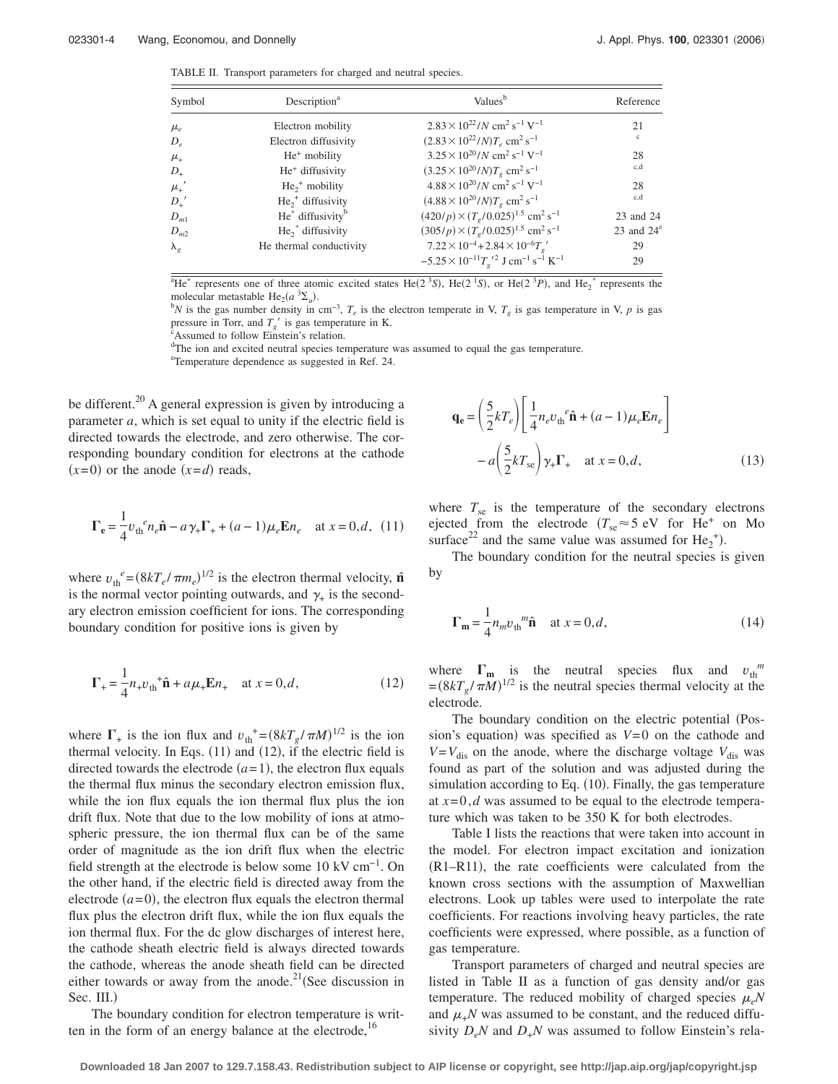TABLE II. Transport parameters for charged and neutral species.

| Symbol                                     | Description <sup>a</sup>                 | Values <sup>b</sup>                                                                               | Reference     |
|--------------------------------------------|------------------------------------------|---------------------------------------------------------------------------------------------------|---------------|
| $\mu_e$                                    | Electron mobility                        | $2.83 \times 10^{22} / N$ cm <sup>2</sup> s <sup>-1</sup> V <sup>-1</sup>                         | 21            |
| $D_e$                                      | Electron diffusivity                     | $(2.83 \times 10^{22} / N)T_e$ cm <sup>2</sup> s <sup>-1</sup>                                    | $\mathbf{c}$  |
| $\mu_{\scriptscriptstyle +}$               | $He+$ mobility                           | $3.25 \times 10^{20} / N \text{ cm}^2 \text{ s}^{-1} \text{ V}^{-1}$                              | 28            |
| $D_{+}$                                    | He <sup>+</sup> diffusivity              | $(3.25 \times 10^{20} / N) T_{\rho}$ cm <sup>2</sup> s <sup>-1</sup>                              | c,d           |
| $\mu_{\scriptscriptstyle +}^{\phantom{+}}$ | $He_2^+$ mobility                        | $4.88 \times 10^{20} / N \text{ cm}^2 \text{ s}^{-1} \text{ V}^{-1}$                              | 28            |
| $D_{+}^{\ \prime}$                         | $He_2^+$ diffusivity                     | $(4.88 \times 10^{20} / N) T_e$ cm <sup>2</sup> s <sup>-1</sup>                                   | c,d           |
| $D_{m1}$                                   | He <sup>*</sup> diffusivity <sup>b</sup> | $(420/p) \times (T_p/0.025)^{1.5}$ cm <sup>2</sup> s <sup>-1</sup>                                | 23 and 24     |
| $D_{m2}$                                   | $He_2^*$ diffusivity                     | $(305/p) \times (T_p/0.025)^{1.5}$ cm <sup>2</sup> s <sup>-1</sup>                                | 23 and $24^e$ |
| $\lambda_{\scriptscriptstyle{\rho}}$       | He thermal conductivity                  | $7.22 \times 10^{-4} + 2.84 \times 10^{-6} T_{e}$                                                 | 29            |
|                                            |                                          | $-5.25 \times 10^{-11} T_{\rho}^{\ \prime\,2}$ J cm <sup>-1</sup> s <sup>-1</sup> K <sup>-1</sup> | 29            |

<sup>a</sup>He<sup>\*</sup> represents one of three atomic excited states He(2<sup>3</sup>S), He(2<sup>1</sup>S), or He(2<sup>3</sup>P), and He<sub>2</sub><sup>\*</sup> represents the molecular metastable He<sub>2</sub> $(a^{3}\Sigma_{u})$ .

<sup>*N*</sup> is the gas number density in cm<sup>-3</sup>,  $T_e$  is the electron temperate in V,  $T_g$  is gas temperature in V, *p* is gas pressure in Torr, and  $T_g'$  is gas temperature in K.

Assumed to follow Einstein's relation.

<sup>d</sup>The ion and excited neutral species temperature was assumed to equal the gas temperature.

e Temperature dependence as suggested in Ref. 24.

be different.<sup>20</sup> A general expression is given by introducing a parameter *a*, which is set equal to unity if the electric field is directed towards the electrode, and zero otherwise. The corresponding boundary condition for electrons at the cathode  $(x=0)$  or the anode  $(x=d)$  reads,

$$
\Gamma_e = \frac{1}{4} v_{\text{th}}^e n_e \hat{\mathbf{n}} - a \gamma_+ \Gamma_+ + (a - 1) \mu_e \mathbf{E} n_e \quad \text{at } x = 0, d, (11)
$$

where  $v_{\text{th}}^e = (8kT_e / \pi m_e)^{1/2}$  is the electron thermal velocity,  $\hat{\mathbf{n}}$ is the normal vector pointing outwards, and  $\gamma_+$  is the secondary electron emission coefficient for ions. The corresponding boundary condition for positive ions is given by

$$
\Gamma_{+} = \frac{1}{4} n_{+} v_{\text{th}}^{+} \hat{\mathbf{n}} + a \mu_{+} \mathbf{E} n_{+} \quad \text{at } x = 0, d,
$$
 (12)

where  $\Gamma_+$  is the ion flux and  $v_{\text{th}}^+ = (8kT_g / \pi M)^{1/2}$  is the ion thermal velocity. In Eqs.  $(11)$  and  $(12)$ , if the electric field is directed towards the electrode  $(a=1)$ , the electron flux equals the thermal flux minus the secondary electron emission flux, while the ion flux equals the ion thermal flux plus the ion drift flux. Note that due to the low mobility of ions at atmospheric pressure, the ion thermal flux can be of the same order of magnitude as the ion drift flux when the electric field strength at the electrode is below some  $10 \text{ kV cm}^{-1}$ . On the other hand, if the electric field is directed away from the electrode  $(a=0)$ , the electron flux equals the electron thermal flux plus the electron drift flux, while the ion flux equals the ion thermal flux. For the dc glow discharges of interest here, the cathode sheath electric field is always directed towards the cathode, whereas the anode sheath field can be directed either towards or away from the anode.<sup>21</sup> (See discussion in  $Sec.$  III. $)$ 

The boundary condition for electron temperature is written in the form of an energy balance at the electrode,  $16$ 

$$
\mathbf{q}_{e} = \left(\frac{5}{2}kT_{e}\right)\left[\frac{1}{4}n_{e}v_{th}^{e}\hat{\mathbf{n}} + (a-1)\mu_{e}\mathbf{E}n_{e}\right]
$$

$$
-a\left(\frac{5}{2}kT_{se}\right)\gamma_{+}\Gamma_{+} \quad \text{at } x = 0, d,
$$
 (13)

where  $T_{\rm se}$  is the temperature of the secondary electrons ejected from the electrode  $(T_{\text{se}} \approx 5 \text{ eV}$  for He<sup>+</sup> on Mo surface<sup>22</sup> and the same value was assumed for  $He_2^+$ ).

The boundary condition for the neutral species is given by

$$
\Gamma_{\mathbf{m}} = \frac{1}{4} n_m v_{\text{th}}^m \hat{\mathbf{n}} \quad \text{at } x = 0, d,
$$
 (14)

where  $\Gamma_{\mathbf{m}}$  is the neutral species flux and  $v_{\text{th}}^{m}$  $=(8kT_g/\pi M)^{1/2}$  is the neutral species thermal velocity at the electrode.

The boundary condition on the electric potential (Possion's equation) was specified as  $V=0$  on the cathode and  $V = V_{\text{dis}}$  on the anode, where the discharge voltage  $V_{\text{dis}}$  was found as part of the solution and was adjusted during the simulation according to Eq. (10). Finally, the gas temperature at *x*=0,*d* was assumed to be equal to the electrode temperature which was taken to be 350 K for both electrodes.

Table I lists the reactions that were taken into account in the model. For electron impact excitation and ionization (R1-R11), the rate coefficients were calculated from the known cross sections with the assumption of Maxwellian electrons. Look up tables were used to interpolate the rate coefficients. For reactions involving heavy particles, the rate coefficients were expressed, where possible, as a function of gas temperature.

Transport parameters of charged and neutral species are listed in Table II as a function of gas density and/or gas temperature. The reduced mobility of charged species  $\mu_e N$ and  $\mu$ <sub>+</sub>N was assumed to be constant, and the reduced diffusivity  $D_eN$  and  $D_{+}N$  was assumed to follow Einstein's rela-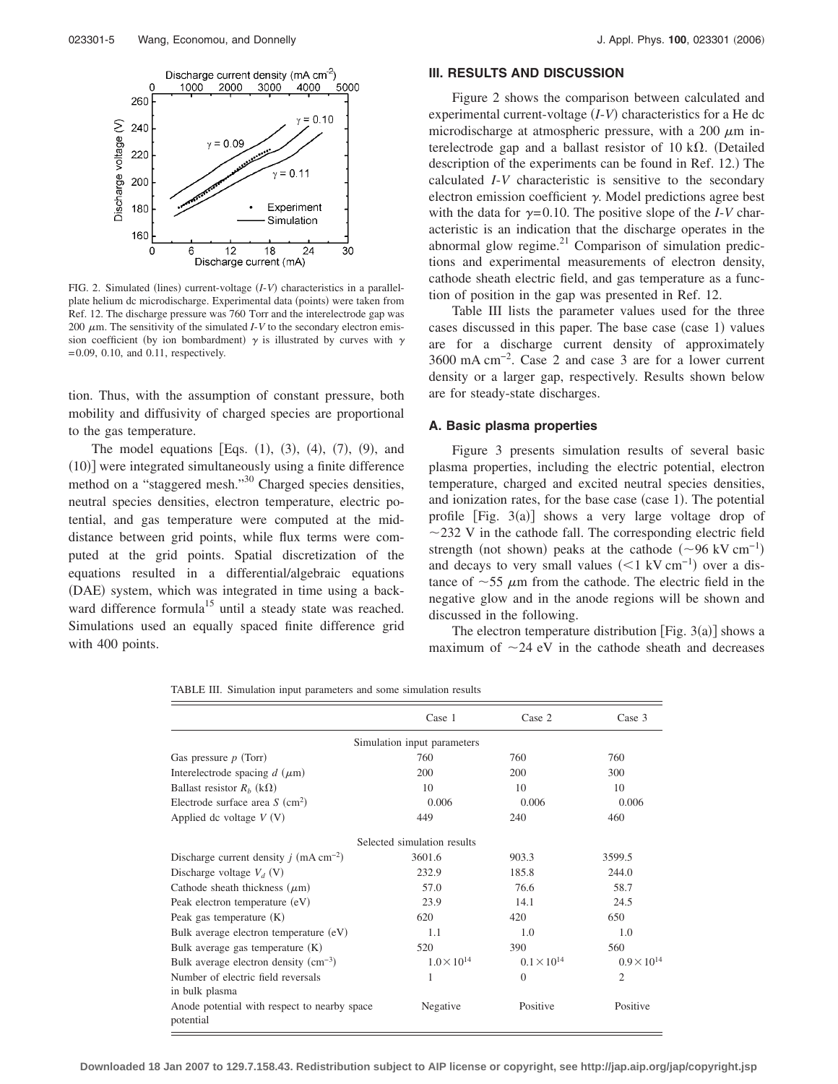

FIG. 2. Simulated (lines) current-voltage (*I-V*) characteristics in a parallelplate helium dc microdischarge. Experimental data (points) were taken from Ref. 12. The discharge pressure was 760 Torr and the interelectrode gap was 200  $\mu$ m. The sensitivity of the simulated *I*-*V* to the secondary electron emission coefficient (by ion bombardment)  $\gamma$  is illustrated by curves with  $\gamma$  $= 0.09, 0.10,$  and 0.11, respectively.

tion. Thus, with the assumption of constant pressure, both mobility and diffusivity of charged species are proportional to the gas temperature.

The model equations [Eqs.  $(1)$ ,  $(3)$ ,  $(4)$ ,  $(7)$ ,  $(9)$ , and (10)] were integrated simultaneously using a finite difference method on a "staggered mesh."<sup>30</sup> Charged species densities, neutral species densities, electron temperature, electric potential, and gas temperature were computed at the middistance between grid points, while flux terms were computed at the grid points. Spatial discretization of the equations resulted in a differential/algebraic equations (DAE) system, which was integrated in time using a backward difference formula<sup>15</sup> until a steady state was reached. Simulations used an equally spaced finite difference grid with 400 points.

### **III. RESULTS AND DISCUSSION**

Figure 2 shows the comparison between calculated and experimental current-voltage (*I*-*V*) characteristics for a He dc microdischarge at atmospheric pressure, with a 200  $\mu$ m interelectrode gap and a ballast resistor of 10 k $\Omega$ . (Detailed description of the experiments can be found in Ref. 12.) The calculated *I*-*V* characteristic is sensitive to the secondary electron emission coefficient  $\gamma$ . Model predictions agree best with the data for  $\gamma = 0.10$ . The positive slope of the *I*-*V* characteristic is an indication that the discharge operates in the abnormal glow regime.<sup>21</sup> Comparison of simulation predictions and experimental measurements of electron density, cathode sheath electric field, and gas temperature as a function of position in the gap was presented in Ref. 12.

Table III lists the parameter values used for the three cases discussed in this paper. The base case (case 1) values are for a discharge current density of approximately 3600 mA cm−2. Case 2 and case 3 are for a lower current density or a larger gap, respectively. Results shown below are for steady-state discharges.

### **A. Basic plasma properties**

Figure 3 presents simulation results of several basic plasma properties, including the electric potential, electron temperature, charged and excited neutral species densities, and ionization rates, for the base case (case 1). The potential profile  $[Fig. 3(a)]$  shows a very large voltage drop of  $\sim$ 232 V in the cathode fall. The corresponding electric field strength (not shown) peaks at the cathode  $(\sim 96 \text{ kV cm}^{-1})$ and decays to very small values  $(<1 \text{ kV cm}^{-1})$  over a distance of  $\sim$  55  $\mu$ m from the cathode. The electric field in the negative glow and in the anode regions will be shown and discussed in the following.

The electron temperature distribution [Fig.  $3(a)$ ] shows a maximum of  $\sim$ 24 eV in the cathode sheath and decreases

TABLE III. Simulation input parameters and some simulation results

|                                                           | Case 1               | Case 2               | Case 3               |  |  |  |  |
|-----------------------------------------------------------|----------------------|----------------------|----------------------|--|--|--|--|
| Simulation input parameters                               |                      |                      |                      |  |  |  |  |
| Gas pressure $p$ (Torr)                                   | 760                  | 760                  | 760                  |  |  |  |  |
| Interelectrode spacing $d$ ( $\mu$ m)                     | 200                  | 200                  | 300                  |  |  |  |  |
| Ballast resistor $R_h$ (k $\Omega$ )                      | 10                   | 10                   | 10                   |  |  |  |  |
| Electrode surface area $S$ (cm <sup>2</sup> )             | 0.006                | 0.006                | 0.006                |  |  |  |  |
| Applied dc voltage $V(V)$                                 | 449                  | 240                  | 460                  |  |  |  |  |
| Selected simulation results                               |                      |                      |                      |  |  |  |  |
| Discharge current density $j$ (mA cm <sup>-2</sup> )      | 3601.6               | 903.3                | 3599.5               |  |  |  |  |
| Discharge voltage $V_d$ (V)                               | 232.9                | 185.8                | 244.0                |  |  |  |  |
| Cathode sheath thickness $(\mu m)$                        | 57.0                 | 76.6                 | 58.7                 |  |  |  |  |
| Peak electron temperature (eV)                            | 23.9                 | 14.1                 | 24.5                 |  |  |  |  |
| Peak gas temperature $(K)$                                | 620                  | 420                  | 650                  |  |  |  |  |
| Bulk average electron temperature (eV)                    | 1.1                  | 1.0                  | 1.0                  |  |  |  |  |
| Bulk average gas temperature $(K)$                        | 520                  | 390                  | 560                  |  |  |  |  |
| Bulk average electron density $(cm^{-3})$                 | $1.0 \times 10^{14}$ | $0.1 \times 10^{14}$ | $0.9 \times 10^{14}$ |  |  |  |  |
| Number of electric field reversals                        | 1                    | $\mathbf{0}$         | $\overline{2}$       |  |  |  |  |
| in bulk plasma                                            |                      |                      |                      |  |  |  |  |
| Anode potential with respect to nearby space<br>potential | Negative             | Positive             | Positive             |  |  |  |  |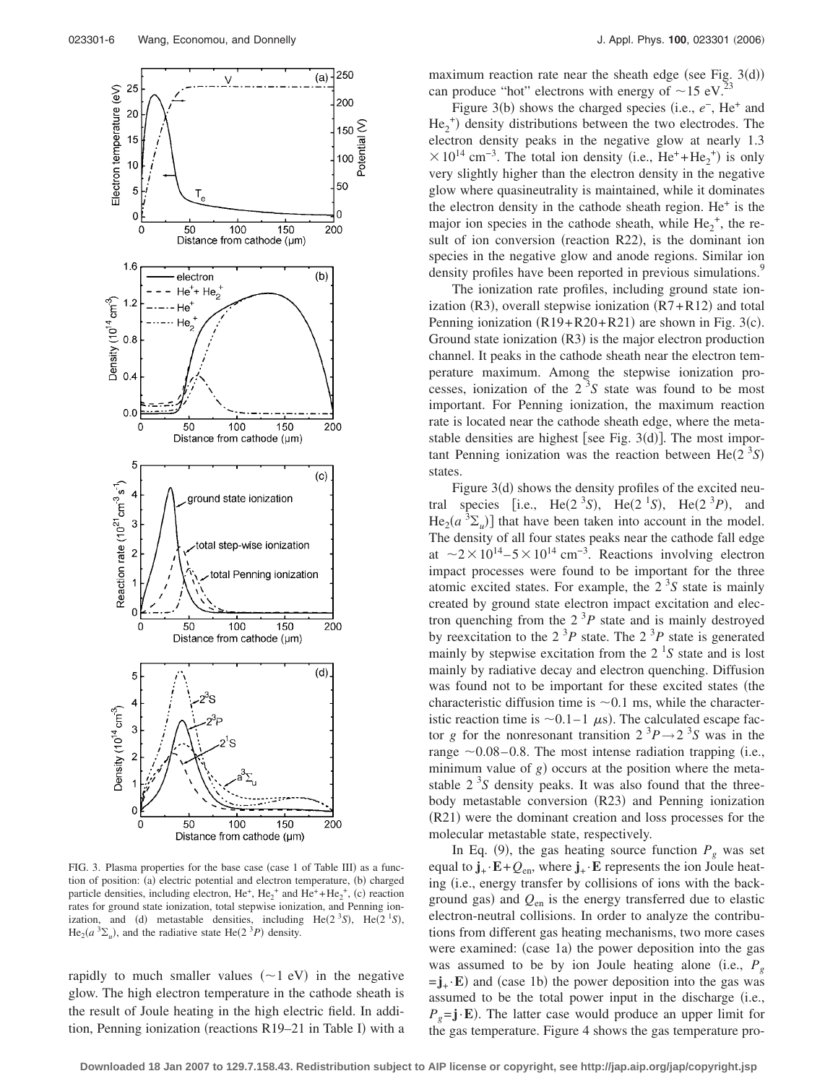

FIG. 3. Plasma properties for the base case (case 1 of Table III) as a function of position: (a) electric potential and electron temperature, (b) charged particle densities, including electron,  $He^+$ ,  $He_2^+$  and  $He^+ + He_2^+$ , (c) reaction rates for ground state ionization, total stepwise ionization, and Penning ionization, and (d) metastable densities, including  $He(2^3S)$ ,  $He(2^1S)$ ,  $\text{He}_2(a^3\Sigma_u)$ , and the radiative state  $\text{He}(2^3P)$  density.

rapidly to much smaller values  $(\sim 1$  eV) in the negative glow. The high electron temperature in the cathode sheath is the result of Joule heating in the high electric field. In addition, Penning ionization (reactions R19-21 in Table I) with a

maximum reaction rate near the sheath edge (see Fig.  $3(d)$ ) can produce "hot" electrons with energy of  $\sim$  15 eV.<sup>23</sup>

Figure 3(b) shows the charged species (i.e.,  $e^-$ , He<sup>+</sup> and  $He_2^{\dagger}$ ) density distributions between the two electrodes. The electron density peaks in the negative glow at nearly 1.3  $\times 10^{14}$  cm<sup>-3</sup>. The total ion density (i.e., He<sup>+</sup>+He<sub>2</sub><sup>+</sup>) is only very slightly higher than the electron density in the negative glow where quasineutrality is maintained, while it dominates the electron density in the cathode sheath region.  $He<sup>+</sup>$  is the major ion species in the cathode sheath, while  $He_2^+$ , the result of ion conversion (reaction R22), is the dominant ion species in the negative glow and anode regions. Similar ion density profiles have been reported in previous simulations.<sup>9</sup>

The ionization rate profiles, including ground state ionization  $(R3)$ , overall stepwise ionization  $(R7 + R12)$  and total Penning ionization  $(R19 + R20 + R21)$  are shown in Fig. 3(c). Ground state ionization  $(R3)$  is the major electron production channel. It peaks in the cathode sheath near the electron temperature maximum. Among the stepwise ionization processes, ionization of the  $2<sup>3</sup>S$  state was found to be most important. For Penning ionization, the maximum reaction rate is located near the cathode sheath edge, where the metastable densities are highest [see Fig.  $3(d)$ ]. The most important Penning ionization was the reaction between  $\text{He}(2^{3}S)$ states.

Figure 3(d) shows the density profiles of the excited neutral species [i.e., He(2<sup>3</sup>S), He(2<sup>1</sup>S), He(2<sup>3</sup>P), and  $\text{He}_2(a^3\Sigma_u)$ ] that have been taken into account in the model. The density of all four states peaks near the cathode fall edge at  $\sim$ 2×10<sup>14</sup> – 5×10<sup>14</sup> cm<sup>-3</sup>. Reactions involving electron impact processes were found to be important for the three atomic excited states. For example, the  $2<sup>3</sup>S$  state is mainly created by ground state electron impact excitation and electron quenching from the  $2<sup>3</sup>P$  state and is mainly destroyed by reexcitation to the  $2^{3}P$  state. The  $2^{3}P$  state is generated mainly by stepwise excitation from the  $2<sup>1</sup>S$  state and is lost mainly by radiative decay and electron quenching. Diffusion was found not to be important for these excited states (the characteristic diffusion time is  $\sim 0.1$  ms, while the characteristic reaction time is  $\sim$  0.1–1  $\mu$ s). The calculated escape factor *g* for the nonresonant transition  $2^{3}P \rightarrow 2^{3}S$  was in the range  $\sim$  0.08–0.8. The most intense radiation trapping (i.e., minimum value of  $g$ ) occurs at the position where the metastable  $2<sup>3</sup>S$  density peaks. It was also found that the threebody metastable conversion (R23) and Penning ionization (R21) were the dominant creation and loss processes for the molecular metastable state, respectively.

In Eq. (9), the gas heating source function  $P_g$  was set equal to  $\mathbf{j}_{+} \cdot \mathbf{E} + Q_{en}$ , where  $\mathbf{j}_{+} \cdot \mathbf{E}$  represents the ion Joule heating (i.e., energy transfer by collisions of ions with the background gas) and  $Q_{\text{en}}$  is the energy transferred due to elastic electron-neutral collisions. In order to analyze the contributions from different gas heating mechanisms, two more cases were examined: (case 1a) the power deposition into the gas was assumed to be by ion Joule heating alone (i.e.,  $P<sub>g</sub>$  $= j_{+} \cdot E$ ) and (case 1b) the power deposition into the gas was assumed to be the total power input in the discharge (i.e.,  $P_g = j \cdot E$ ). The latter case would produce an upper limit for the gas temperature. Figure 4 shows the gas temperature pro-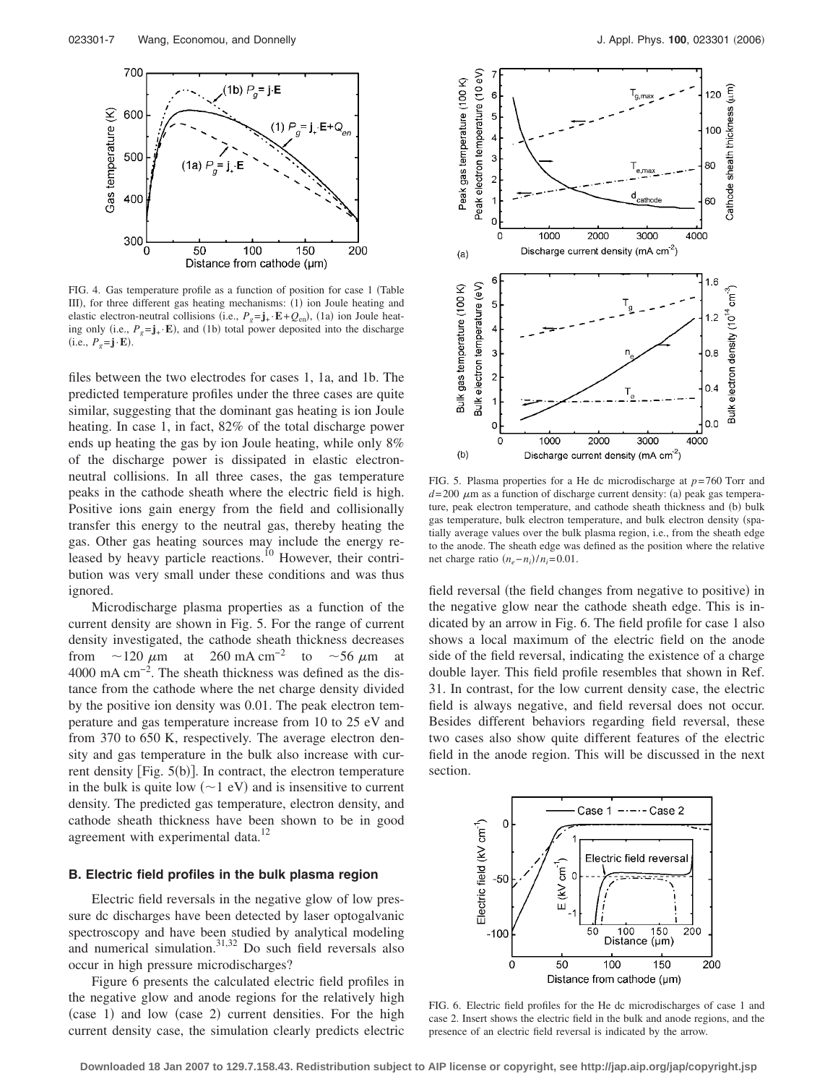

FIG. 4. Gas temperature profile as a function of position for case 1 (Table III), for three different gas heating mechanisms: (1) ion Joule heating and elastic electron-neutral collisions (i.e.,  $P_g = \mathbf{j}_+ \cdot \mathbf{E} + Q_{en}$ ), (1a) ion Joule heating only (i.e.,  $P_g = \mathbf{j}_+ \cdot \mathbf{E}$ ), and (1b) total power deposited into the discharge  $(i.e., P<sub>g</sub>=j·**E**).$ 

files between the two electrodes for cases 1, 1a, and 1b. The predicted temperature profiles under the three cases are quite similar, suggesting that the dominant gas heating is ion Joule heating. In case 1, in fact, 82% of the total discharge power ends up heating the gas by ion Joule heating, while only 8% of the discharge power is dissipated in elastic electronneutral collisions. In all three cases, the gas temperature peaks in the cathode sheath where the electric field is high. Positive ions gain energy from the field and collisionally transfer this energy to the neutral gas, thereby heating the gas. Other gas heating sources may include the energy released by heavy particle reactions.<sup>10</sup> However, their contribution was very small under these conditions and was thus ignored.

Microdischarge plasma properties as a function of the current density are shown in Fig. 5. For the range of current density investigated, the cathode sheath thickness decreases from  $\sim$ 120  $\mu$ m at 260 mA cm<sup>-2</sup> to  $\sim$ 56  $\mu$ m at 4000 mA cm−2. The sheath thickness was defined as the distance from the cathode where the net charge density divided by the positive ion density was 0.01. The peak electron temperature and gas temperature increase from 10 to 25 eV and from 370 to 650 K, respectively. The average electron density and gas temperature in the bulk also increase with current density [Fig. 5(b)]. In contract, the electron temperature in the bulk is quite low  $(\sim 1 \text{ eV})$  and is insensitive to current density. The predicted gas temperature, electron density, and cathode sheath thickness have been shown to be in good agreement with experimental data.<sup>12</sup>

#### **B. Electric field profiles in the bulk plasma region**

Electric field reversals in the negative glow of low pressure dc discharges have been detected by laser optogalvanic spectroscopy and have been studied by analytical modeling and numerical simulation. $31,32$  Do such field reversals also occur in high pressure microdischarges?

Figure 6 presents the calculated electric field profiles in the negative glow and anode regions for the relatively high (case 1) and low (case 2) current densities. For the high current density case, the simulation clearly predicts electric



FIG. 5. Plasma properties for a He dc microdischarge at *p*= 760 Torr and  $d=200 \mu$ m as a function of discharge current density: (a) peak gas temperature, peak electron temperature, and cathode sheath thickness and (b) bulk gas temperature, bulk electron temperature, and bulk electron density (spatially average values over the bulk plasma region, i.e., from the sheath edge to the anode. The sheath edge was defined as the position where the relative net charge ratio  $(n_e - n_i)/n_i = 0.01$ .

field reversal (the field changes from negative to positive) in the negative glow near the cathode sheath edge. This is indicated by an arrow in Fig. 6. The field profile for case 1 also shows a local maximum of the electric field on the anode side of the field reversal, indicating the existence of a charge double layer. This field profile resembles that shown in Ref. 31. In contrast, for the low current density case, the electric field is always negative, and field reversal does not occur. Besides different behaviors regarding field reversal, these two cases also show quite different features of the electric field in the anode region. This will be discussed in the next section.



FIG. 6. Electric field profiles for the He dc microdischarges of case 1 and case 2. Insert shows the electric field in the bulk and anode regions, and the presence of an electric field reversal is indicated by the arrow.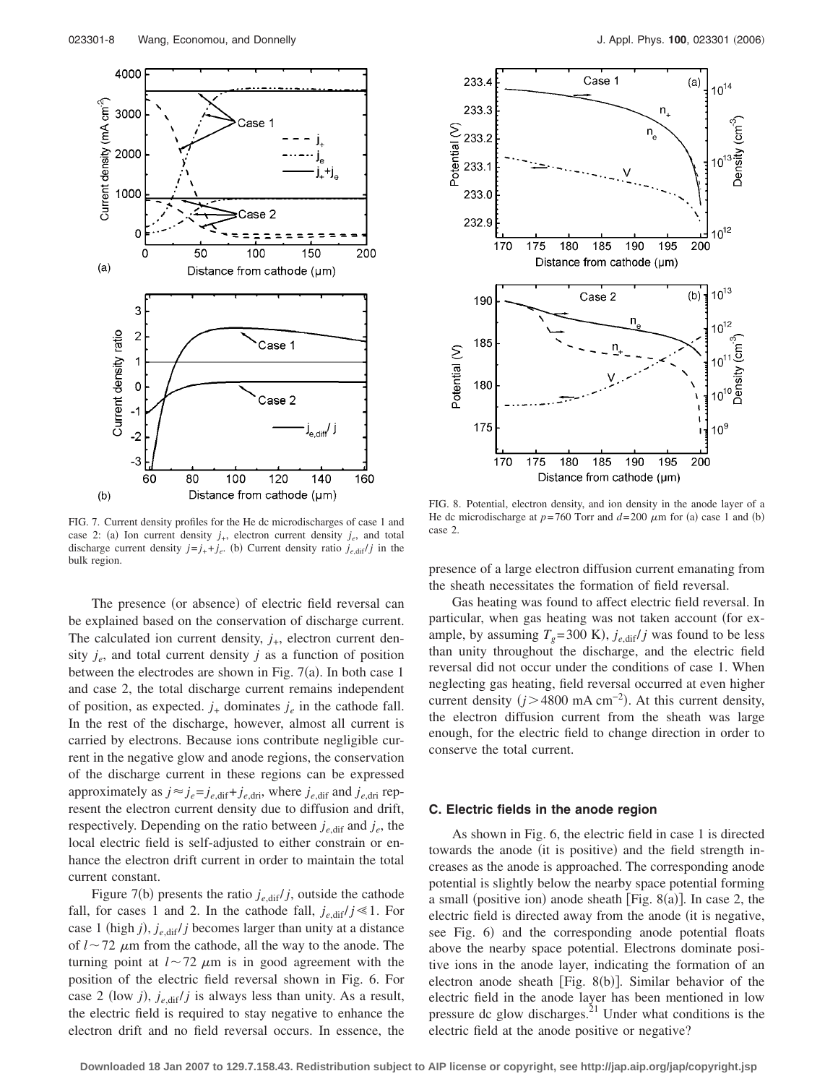

FIG. 7. Current density profiles for the He dc microdischarges of case 1 and case 2: (a) Ion current density  $j_{+}$ , electron current density  $j_{e}$ , and total discharge current density  $j=j_{+}+j_{e}$ . (b) Current density ratio  $j_{e, \text{dif}}/j$  in the bulk region.

The presence (or absence) of electric field reversal can be explained based on the conservation of discharge current. The calculated ion current density,  $j_{+}$ , electron current density  $j_e$ , and total current density  $j$  as a function of position between the electrodes are shown in Fig.  $7(a)$ . In both case 1 and case 2, the total discharge current remains independent of position, as expected.  $j_{+}$  dominates  $j_{e}$  in the cathode fall. In the rest of the discharge, however, almost all current is carried by electrons. Because ions contribute negligible current in the negative glow and anode regions, the conservation of the discharge current in these regions can be expressed approximately as  $j \approx j_e = j_{e,\text{dif}} + j_{e,\text{dir}}$ , where  $j_{e,\text{dif}}$  and  $j_{e,\text{dir}}$  represent the electron current density due to diffusion and drift, respectively. Depending on the ratio between  $j_{e, \text{dif}}$  and  $j_e$ , the local electric field is self-adjusted to either constrain or enhance the electron drift current in order to maintain the total current constant.

Figure 7(b) presents the ratio  $j_{e, \text{dif}}/j$ , outside the cathode fall, for cases 1 and 2. In the cathode fall,  $j_{e, \text{dif}}/j \ll 1$ . For case 1 (high  $j$ ),  $j_{e, \text{dif}}/j$  becomes larger than unity at a distance of  $l \sim 72 \mu m$  from the cathode, all the way to the anode. The turning point at  $l \sim 72 \mu m$  is in good agreement with the position of the electric field reversal shown in Fig. 6. For case 2 (low *j*),  $j_{e, \text{diff}}/j$  is always less than unity. As a result, the electric field is required to stay negative to enhance the electron drift and no field reversal occurs. In essence, the



FIG. 8. Potential, electron density, and ion density in the anode layer of a He dc microdischarge at  $p=760$  Torr and  $d=200 \mu m$  for (a) case 1 and (b) case 2.

presence of a large electron diffusion current emanating from the sheath necessitates the formation of field reversal.

Gas heating was found to affect electric field reversal. In particular, when gas heating was not taken account (for example, by assuming  $T_g$ =300 K),  $j_{e, \text{diff}}/j$  was found to be less than unity throughout the discharge, and the electric field reversal did not occur under the conditions of case 1. When neglecting gas heating, field reversal occurred at even higher current density  $(j>4800 \text{ mA cm}^{-2})$ . At this current density, the electron diffusion current from the sheath was large enough, for the electric field to change direction in order to conserve the total current.

#### **C. Electric fields in the anode region**

As shown in Fig. 6, the electric field in case 1 is directed towards the anode (it is positive) and the field strength increases as the anode is approached. The corresponding anode potential is slightly below the nearby space potential forming a small (positive ion) anode sheath [Fig. 8(a)]. In case 2, the electric field is directed away from the anode (it is negative, see Fig. 6) and the corresponding anode potential floats above the nearby space potential. Electrons dominate positive ions in the anode layer, indicating the formation of an electron anode sheath [Fig. 8(b)]. Similar behavior of the electric field in the anode layer has been mentioned in low pressure dc glow discharges. $^{21}$  Under what conditions is the electric field at the anode positive or negative?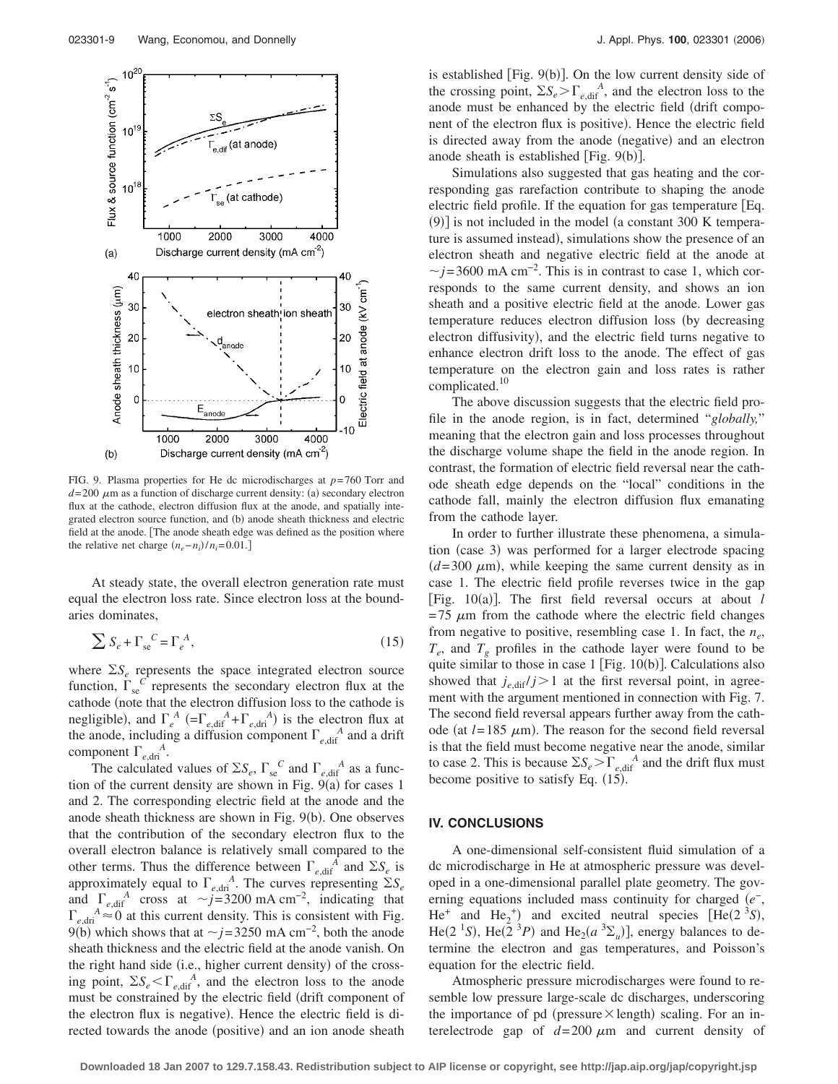

FIG. 9. Plasma properties for He dc microdischarges at *p*= 760 Torr and  $d=200 \mu$ m as a function of discharge current density: (a) secondary electron flux at the cathode, electron diffusion flux at the anode, and spatially integrated electron source function, and (b) anode sheath thickness and electric field at the anode. The anode sheath edge was defined as the position where the relative net charge  $(n_e - n_i)/n_i = 0.01$ .]

At steady state, the overall electron generation rate must equal the electron loss rate. Since electron loss at the boundaries dominates,

$$
\sum S_e + \Gamma_{se}^C = \Gamma_e^A,\tag{15}
$$

where  $\Sigma S_e$  represents the space integrated electron source function,  $\Gamma_{\rm se}^C$  represents the secondary electron flux at the cathode (note that the electron diffusion loss to the cathode is negligible), and  $\Gamma_e^A$  (= $\Gamma_{e,\text{diff}}^A + \Gamma_{e,\text{dri}}^A$ ) is the electron flux at the anode, including a diffusion component  $\Gamma_{e,\text{dif}}^A$  and a drift component  $\Gamma_{e, \text{dri}}^A$ .

The calculated values of  $\Sigma S_e$ ,  $\Gamma_{se}^{\ C}$  and  $\Gamma_{e,\text{diff}}^{\ A}$  as a function of the current density are shown in Fig.  $9(a)$  for cases 1 and 2. The corresponding electric field at the anode and the anode sheath thickness are shown in Fig. 9(b). One observes that the contribution of the secondary electron flux to the overall electron balance is relatively small compared to the other terms. Thus the difference between  $\Gamma_{e,\text{dif}}^A$  and  $\Sigma S_e$  is approximately equal to  $\Gamma_{e, \text{dri}}^{A}$ . The curves representing  $\Sigma S_e$ and  $\Gamma_{e, \text{dif}}^A$  cross at  $\sim j=3200 \text{ mA cm}^{-2}$ , indicating that  $\int_{e, dri}^{A} \approx 0$  at this current density. This is consistent with Fig. 9(b) which shows that at  $\sim j$ =3250 mA cm<sup>-2</sup>, both the anode sheath thickness and the electric field at the anode vanish. On the right hand side (i.e., higher current density) of the crossing point,  $\Sigma S_e \le \Gamma_{e,\text{dif}}^A$ , and the electron loss to the anode must be constrained by the electric field drift component of the electron flux is negative). Hence the electric field is directed towards the anode (positive) and an ion anode sheath

is established [Fig. 9(b)]. On the low current density side of the crossing point,  $\Sigma S_e > \Gamma_{e,\text{dif}}^A$ , and the electron loss to the anode must be enhanced by the electric field drift component of the electron flux is positive). Hence the electric field is directed away from the anode (negative) and an electron anode sheath is established [Fig. 9(b)].

Simulations also suggested that gas heating and the corresponding gas rarefaction contribute to shaping the anode electric field profile. If the equation for gas temperature [Eq. (9)] is not included in the model (a constant 300 K temperature is assumed instead), simulations show the presence of an electron sheath and negative electric field at the anode at  $\sim$ *j*=3600 mA cm<sup>-2</sup>. This is in contrast to case 1, which corresponds to the same current density, and shows an ion sheath and a positive electric field at the anode. Lower gas temperature reduces electron diffusion loss (by decreasing electron diffusivity), and the electric field turns negative to enhance electron drift loss to the anode. The effect of gas temperature on the electron gain and loss rates is rather complicated.<sup>10</sup>

The above discussion suggests that the electric field profile in the anode region, is in fact, determined "*globally,*" meaning that the electron gain and loss processes throughout the discharge volume shape the field in the anode region. In contrast, the formation of electric field reversal near the cathode sheath edge depends on the "local" conditions in the cathode fall, mainly the electron diffusion flux emanating from the cathode layer.

In order to further illustrate these phenomena, a simulation (case 3) was performed for a larger electrode spacing  $(d=300 \mu m)$ , while keeping the same current density as in case 1. The electric field profile reverses twice in the gap [Fig. 10(a)]. The first field reversal occurs at about *l*  $= 75 \mu m$  from the cathode where the electric field changes from negative to positive, resembling case 1. In fact, the *ne*,  $T_e$ , and  $T_g$  profiles in the cathode layer were found to be quite similar to those in case  $1$  [Fig.  $10(b)$ ]. Calculations also showed that  $j_{e,\text{dif}}/j>1$  at the first reversal point, in agreement with the argument mentioned in connection with Fig. 7. The second field reversal appears further away from the cathode (at  $l = 185 \mu m$ ). The reason for the second field reversal is that the field must become negative near the anode, similar to case 2. This is because  $\Sigma S_e > \Gamma_{e, \text{diff}}^A$  and the drift flux must become positive to satisfy Eq.  $(15)$ .

### **IV. CONCLUSIONS**

A one-dimensional self-consistent fluid simulation of a dc microdischarge in He at atmospheric pressure was developed in a one-dimensional parallel plate geometry. The governing equations included mass continuity for charged *e*−, He<sup>+</sup> and He<sub>2</sub><sup>+</sup>) and excited neutral species [He(2<sup>3</sup>S), He(2<sup>-1</sup>S), He(2<sup>-3</sup>P) and He<sub>2</sub>( $a$ <sup>-3</sup> $\Sigma_u$ )], energy balances to determine the electron and gas temperatures, and Poisson's equation for the electric field.

Atmospheric pressure microdischarges were found to resemble low pressure large-scale dc discharges, underscoring the importance of pd (pressure  $\times$  length) scaling. For an interelectrode gap of  $d=200 \mu m$  and current density of